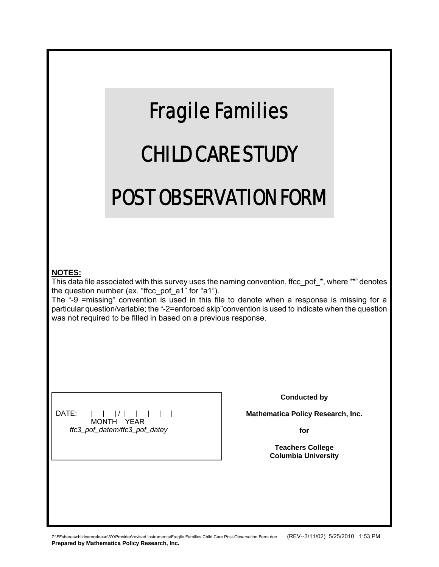|                                                                                                                                                                                                                                                                                                                                                                                                                                                       | <b>Fragile Families</b><br><b>CHILD CARE STUDY</b> |                                                                                                                          |  |
|-------------------------------------------------------------------------------------------------------------------------------------------------------------------------------------------------------------------------------------------------------------------------------------------------------------------------------------------------------------------------------------------------------------------------------------------------------|----------------------------------------------------|--------------------------------------------------------------------------------------------------------------------------|--|
|                                                                                                                                                                                                                                                                                                                                                                                                                                                       | <b>POST OBSERVATION FORM</b>                       |                                                                                                                          |  |
| <b>NOTES:</b><br>This data file associated with this survey uses the naming convention, ffcc_pof_*, where "*" denotes<br>the question number (ex. "ffcc_pof_a1" for "a1").<br>The "-9 =missing" convention is used in this file to denote when a response is missing for a<br>particular question/variable; the "-2=enforced skip" convention is used to indicate when the question<br>was not required to be filled in based on a previous response. |                                                    |                                                                                                                          |  |
| DATE:                                                                                                                                                                                                                                                                                                                                                                                                                                                 | MONTH<br>YFAR<br>ffc3_pof_datem/ffc3_pof_datey     | <b>Conducted by</b><br>Mathematica Policy Research, Inc.<br>for<br><b>Teachers College</b><br><b>Columbia University</b> |  |
|                                                                                                                                                                                                                                                                                                                                                                                                                                                       |                                                    |                                                                                                                          |  |

Z:\FFshares\childcarerelease\3YrProvider\revised instruments\Fragile Families Child Care Post-Observation Form.doc (REV--3/11/02) 5/25/2010 1:53 PM **Prepared by Mathematica Policy Research, Inc.**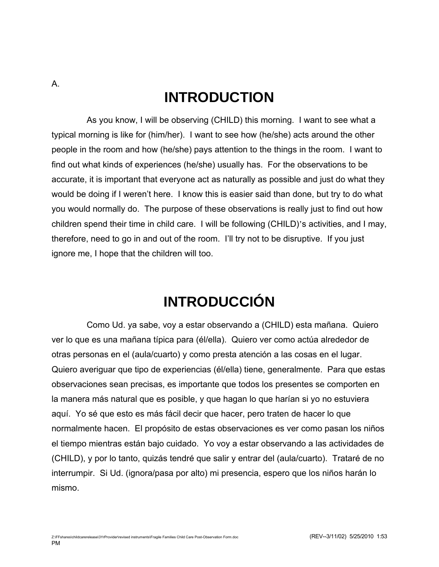# **INTRODUCTION**

A.

As you know, I will be observing (CHILD) this morning. I want to see what a typical morning is like for (him/her). I want to see how (he/she) acts around the other people in the room and how (he/she) pays attention to the things in the room. I want to find out what kinds of experiences (he/she) usually has. For the observations to be accurate, it is important that everyone act as naturally as possible and just do what they would be doing if I weren't here. I know this is easier said than done, but try to do what you would normally do. The purpose of these observations is really just to find out how children spend their time in child care. I will be following (CHILD)'s activities, and I may, therefore, need to go in and out of the room. I'll try not to be disruptive. If you just ignore me, I hope that the children will too.

# **INTRODUCCIÓN**

Como Ud. ya sabe, voy a estar observando a (CHILD) esta mañana. Quiero ver lo que es una mañana típica para (él/ella). Quiero ver como actúa alrededor de otras personas en el (aula/cuarto) y como presta atención a las cosas en el lugar. Quiero averiguar que tipo de experiencias (él/ella) tiene, generalmente. Para que estas observaciones sean precisas, es importante que todos los presentes se comporten en la manera más natural que es posible, y que hagan lo que harían si yo no estuviera aquí. Yo sé que esto es más fácil decir que hacer, pero traten de hacer lo que normalmente hacen. El propósito de estas observaciones es ver como pasan los niños el tiempo mientras están bajo cuidado. Yo voy a estar observando a las actividades de (CHILD), y por lo tanto, quizás tendré que salir y entrar del (aula/cuarto). Trataré de no interrumpir. Si Ud. (ignora/pasa por alto) mi presencia, espero que los niños harán lo mismo.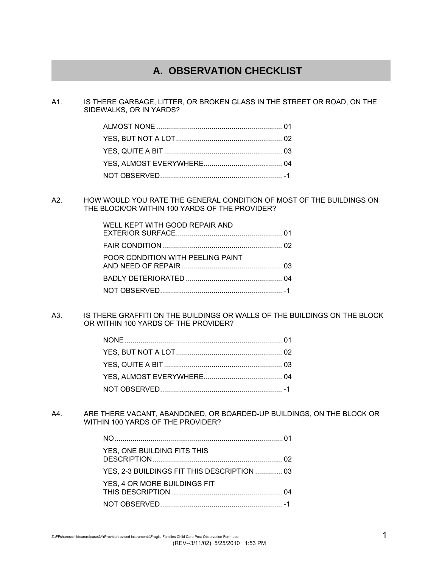## **A. OBSERVATION CHECKLIST**

A1. IS THERE GARBAGE, LITTER, OR BROKEN GLASS IN THE STREET OR ROAD, ON THE SIDEWALKS, OR IN YARDS?

A2. HOW WOULD YOU RATE THE GENERAL CONDITION OF MOST OF THE BUILDINGS ON THE BLOCK/OR WITHIN 100 YARDS OF THE PROVIDER?

| WELL KEPT WITH GOOD REPAIR AND    |  |
|-----------------------------------|--|
|                                   |  |
| POOR CONDITION WITH PEELING PAINT |  |
|                                   |  |
|                                   |  |

A3. IS THERE GRAFFITI ON THE BUILDINGS OR WALLS OF THE BUILDINGS ON THE BLOCK OR WITHIN 100 YARDS OF THE PROVIDER?

A4. ARE THERE VACANT, ABANDONED, OR BOARDED-UP BUILDINGS, ON THE BLOCK OR WITHIN 100 YARDS OF THE PROVIDER?

| YES, ONE BUILDING FITS THIS                 |  |
|---------------------------------------------|--|
| YES, 2-3 BUILDINGS FIT THIS DESCRIPTION  03 |  |
| YES, 4 OR MORE BUILDINGS FIT                |  |
|                                             |  |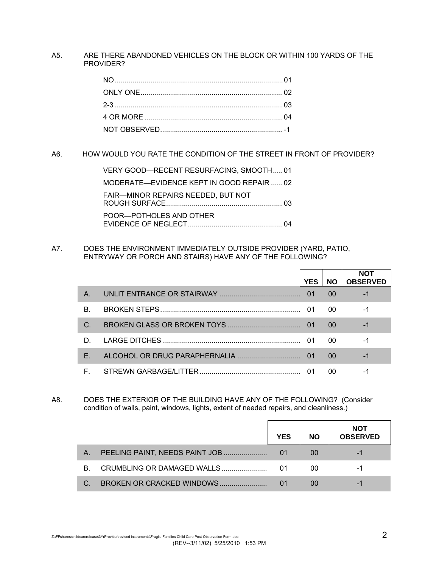## A5. ARE THERE ABANDONED VEHICLES ON THE BLOCK OR WITHIN 100 YARDS OF THE PROVIDER?

A6. HOW WOULD YOU RATE THE CONDITION OF THE STREET IN FRONT OF PROVIDER?

| VERY GOOD-RECENT RESURFACING, SMOOTH01    |
|-------------------------------------------|
| MODERATE-EVIDENCE KEPT IN GOOD REPAIR  02 |
| FAIR-MINOR REPAIRS NEEDED, BUT NOT        |
| POOR-POTHOLES AND OTHER                   |

A7. DOES THE ENVIRONMENT IMMEDIATELY OUTSIDE PROVIDER (YARD, PATIO, ENTRYWAY OR PORCH AND STAIRS) HAVE ANY OF THE FOLLOWING?

|         | <b>YES</b> | <b>NO</b> | <b>NOT</b><br><b>OBSERVED</b> |
|---------|------------|-----------|-------------------------------|
| $A_{1}$ |            | 00        |                               |
| B.      | -01        | -00       |                               |
| C.      |            | 00        | -1                            |
| D.      |            | 00        | -1                            |
| F.      | 01         | 00        | -1                            |
| E.      |            | 00        |                               |

A8. DOES THE EXTERIOR OF THE BUILDING HAVE ANY OF THE FOLLOWING? (Consider condition of walls, paint, windows, lights, extent of needed repairs, and cleanliness.)

|    |                                | <b>YES</b> | <b>NO</b> | <b>NOT</b><br><b>OBSERVED</b> |
|----|--------------------------------|------------|-----------|-------------------------------|
| А. | PEELING PAINT, NEEDS PAINT JOB |            | 00        |                               |
| B. | CRUMBLING OR DAMAGED WALLS     | 01         | 00        |                               |
|    | BROKEN OR CRACKED WINDOWS      |            | $\Omega$  | -                             |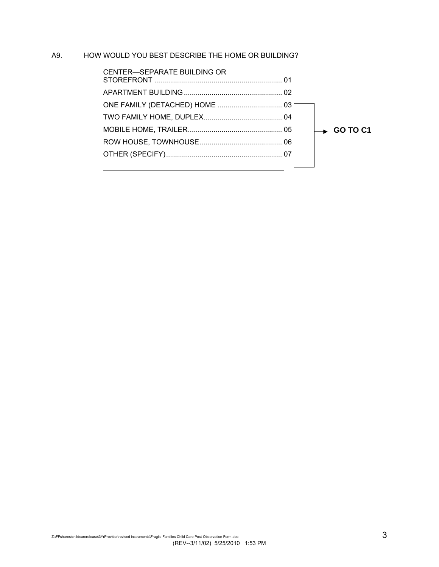## A9. HOW WOULD YOU BEST DESCRIBE THE HOME OR BUILDING?

| CENTER-SEPARATE BUILDING OR |                                   |
|-----------------------------|-----------------------------------|
|                             |                                   |
|                             |                                   |
|                             |                                   |
|                             | $\overline{\phantom{1}}$ GO TO C1 |
|                             |                                   |
|                             |                                   |
|                             |                                   |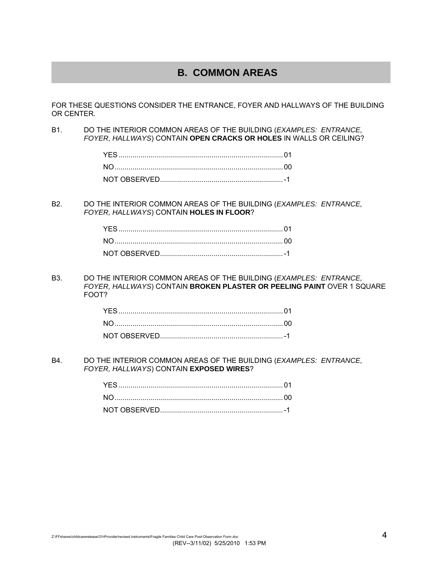## **B. COMMON AREAS**

FOR THESE QUESTIONS CONSIDER THE ENTRANCE, FOYER AND HALLWAYS OF THE BUILDING OR CENTER.

B1. DO THE INTERIOR COMMON AREAS OF THE BUILDING (*EXAMPLES: ENTRANCE, FOYER, HALLWAYS*) CONTAIN **OPEN CRACKS OR HOLES** IN WALLS OR CEILING?

B2. DO THE INTERIOR COMMON AREAS OF THE BUILDING (*EXAMPLES: ENTRANCE, FOYER, HALLWAYS*) CONTAIN **HOLES IN FLOOR**?

B3. DO THE INTERIOR COMMON AREAS OF THE BUILDING (*EXAMPLES: ENTRANCE, FOYER, HALLWAYS*) CONTAIN **BROKEN PLASTER OR PEELING PAINT** OVER 1 SQUARE FOOT?

B4. DO THE INTERIOR COMMON AREAS OF THE BUILDING (*EXAMPLES: ENTRANCE, FOYER, HALLWAYS*) CONTAIN **EXPOSED WIRES**?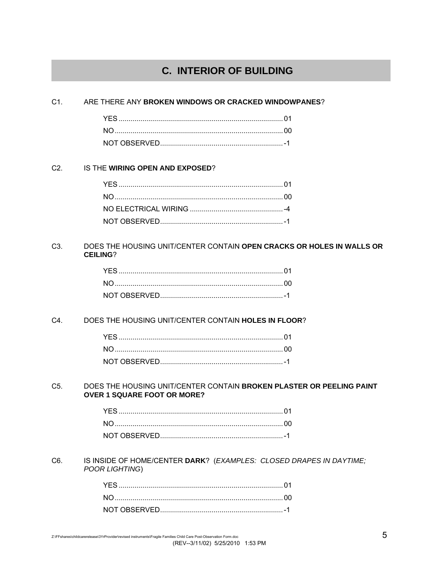## **C. INTERIOR OF BUILDING**

#### $C1.$ ARE THERE ANY BROKEN WINDOWS OR CRACKED WINDOWPANES?

#### $C2.$ IS THE WIRING OPEN AND EXPOSED?

#### $C3.$ DOES THE HOUSING UNIT/CENTER CONTAIN OPEN CRACKS OR HOLES IN WALLS OR **CEILING?**

#### C4. DOES THE HOUSING UNIT/CENTER CONTAIN HOLES IN FLOOR?

#### DOES THE HOUSING UNIT/CENTER CONTAIN BROKEN PLASTER OR PEELING PAINT  $C<sub>5</sub>$ **OVER 1 SQUARE FOOT OR MORE?**

#### C6. IS INSIDE OF HOME/CENTER DARK? (EXAMPLES: CLOSED DRAPES IN DAYTIME; POOR LIGHTING)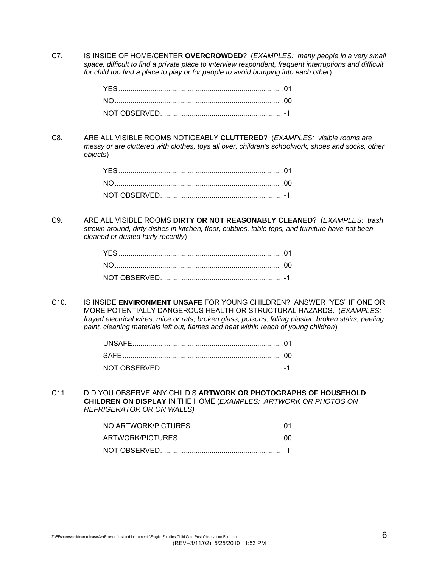C7. IS INSIDE OF HOME/CENTER **OVERCROWDED**? (*EXAMPLES: many people in a very small space, difficult to find a private place to interview respondent, frequent interruptions and difficult for child too find a place to play or for people to avoid bumping into each other*)

C8. ARE ALL VISIBLE ROOMS NOTICEABLY **CLUTTERED**? (*EXAMPLES: visible rooms are messy or are cluttered with clothes, toys all over, children's schoolwork, shoes and socks, other objects*)

C9. ARE ALL VISIBLE ROOMS **DIRTY OR NOT REASONABLY CLEANED**? (*EXAMPLES: trash strewn around, dirty dishes in kitchen, floor, cubbies, table tops, and furniture have not been cleaned or dusted fairly recently*)

C10. IS INSIDE **ENVIRONMENT UNSAFE** FOR YOUNG CHILDREN? ANSWER "YES" IF ONE OR MORE POTENTIALLY DANGEROUS HEALTH OR STRUCTURAL HAZARDS. (*EXAMPLES: frayed electrical wires, mice or rats, broken glass, poisons, falling plaster, broken stairs, peeling paint, cleaning materials left out, flames and heat within reach of young children*)

C11. DID YOU OBSERVE ANY CHILD'S **ARTWORK OR PHOTOGRAPHS OF HOUSEHOLD CHILDREN ON DISPLAY** IN THE HOME (*EXAMPLES: ARTWORK OR PHOTOS ON REFRIGERATOR OR ON WALLS)*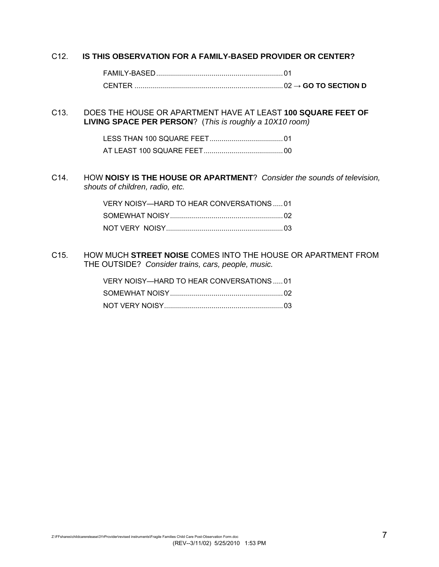## C12. **IS THIS OBSERVATION FOR A FAMILY-BASED PROVIDER OR CENTER?**

### C13. DOES THE HOUSE OR APARTMENT HAVE AT LEAST **100 SQUARE FEET OF LIVING SPACE PER PERSON**? (*This is roughly a 10X10 room)*

## C14. HOW **NOISY IS THE HOUSE OR APARTMENT**? *Consider the sounds of television, shouts of children, radio, etc.*

| VERY NOISY—HARD TO HEAR CONVERSATIONS  01 |  |
|-------------------------------------------|--|
|                                           |  |
|                                           |  |

C15. HOW MUCH **STREET NOISE** COMES INTO THE HOUSE OR APARTMENT FROM THE OUTSIDE? *Consider trains, cars, people, music.*

| VERY NOISY—HARD TO HEAR CONVERSATIONS  01 |  |
|-------------------------------------------|--|
|                                           |  |
|                                           |  |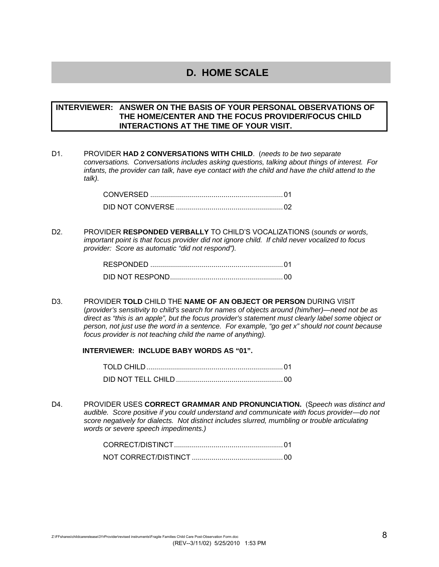## **D. HOME SCALE**

## **INTERVIEWER: ANSWER ON THE BASIS OF YOUR PERSONAL OBSERVATIONS OF THE HOME/CENTER AND THE FOCUS PROVIDER/FOCUS CHILD INTERACTIONS AT THE TIME OF YOUR VISIT.**

D1. PROVIDER **HAD 2 CONVERSATIONS WITH CHILD**. (*needs to be two separate conversations. Conversations includes asking questions, talking about things of interest. For infants, the provider can talk, have eye contact with the child and have the child attend to the talk).* 

D2. PROVIDER **RESPONDED VERBALLY** TO CHILD'S VOCALIZATIONS (*sounds or words, important point is that focus provider did not ignore child. If child never vocalized to focus provider: Score as automatic "did not respond").* 

| RESPONDED |  |
|-----------|--|
|           |  |

D3. PROVIDER **TOLD** CHILD THE **NAME OF AN OBJECT OR PERSON** DURING VISIT (*provider's sensitivity to child's search for names of objects around (him/her)—need not be as direct as "this is an apple", but the focus provider's statement must clearly label some object or person, not just use the word in a sentence. For example, "go get x" should not count because focus provider is not teaching child the name of anything).* 

### **INTERVIEWER: INCLUDE BABY WORDS AS "01".**

| TOI D CHII D |  |
|--------------|--|
|              |  |

D4. PROVIDER USES **CORRECT GRAMMAR AND PRONUNCIATION.** (S*peech was distinct and audible. Score positive if you could understand and communicate with focus provider—do not score negatively for dialects. Not distinct includes slurred, mumbling or trouble articulating words or severe speech impediments.)*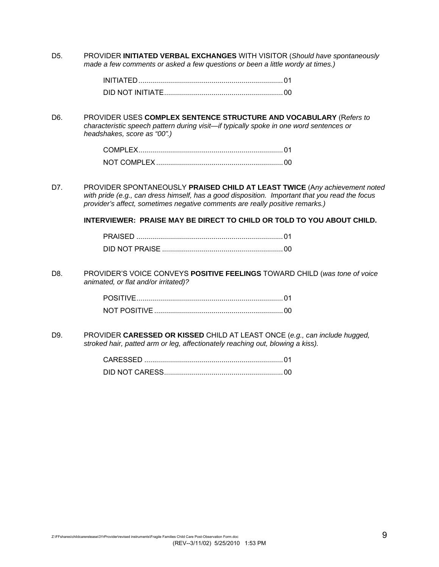D5. PROVIDER **INITIATED VERBAL EXCHANGES** WITH VISITOR (*Should have spontaneously made a few comments or asked a few questions or been a little wordy at times.)* 

| INITIATED |  |
|-----------|--|
|           |  |

D6. PROVIDER USES **COMPLEX SENTENCE STRUCTURE AND VOCABULARY** (R*efers to characteristic speech pattern during visit—if typically spoke in one word sentences or headshakes, score as "00".)*

| NOT COMPLEY |  |
|-------------|--|

D7. PROVIDER SPONTANEOUSLY **PRAISED CHILD AT LEAST TWICE** (A*ny achievement noted with pride (e.g., can dress himself, has a good disposition. Important that you read the focus provider's affect, sometimes negative comments are really positive remarks.)* 

**INTERVIEWER: PRAISE MAY BE DIRECT TO CHILD OR TOLD TO YOU ABOUT CHILD.** 

D8. PROVIDER'S VOICE CONVEYS **POSITIVE FEELINGS** TOWARD CHILD (*was tone of voice animated, or flat and/or irritated)?* 

| NOT POSITIVE |  |
|--------------|--|

D9. PROVIDER **CARESSED OR KISSED** CHILD AT LEAST ONCE (*e.g., can include hugged, stroked hair, patted arm or leg, affectionately reaching out, blowing a kiss).* 

| CARESSED |  |
|----------|--|
|          |  |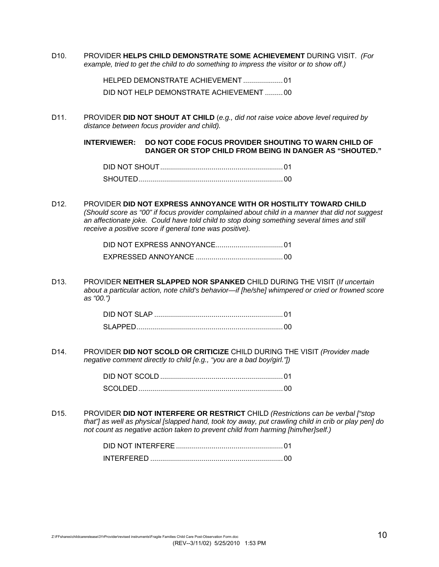D10. PROVIDER **HELPS CHILD DEMONSTRATE SOME ACHIEVEMENT** DURING VISIT. *(For example, tried to get the child to do something to impress the visitor or to show off.)* 

> HELPED DEMONSTRATE ACHIEVEMENT .................... 01 DID NOT HELP DEMONSTRATE ACHIEVEMENT ......... 00

D11. PROVIDER **DID NOT SHOUT AT CHILD** (*e.g., did not raise voice above level required by distance between focus provider and child).* 

> **INTERVIEWER: DO NOT CODE FOCUS PROVIDER SHOUTING TO WARN CHILD OF DANGER OR STOP CHILD FROM BEING IN DANGER AS "SHOUTED."**

| <b>SHOUTED</b> |  |
|----------------|--|

D12. PROVIDER **DID NOT EXPRESS ANNOYANCE WITH OR HOSTILITY TOWARD CHILD** *(Should score as "00" if focus provider complained about child in a manner that did not suggest an affectionate joke. Could have told child to stop doing something several times and still receive a positive score if general tone was positive).* 

D13. PROVIDER **NEITHER SLAPPED NOR SPANKED** CHILD DURING THE VISIT (I*f uncertain about a particular action, note child's behavior—if [he/she] whimpered or cried or frowned score as "00.")* 

| DID NOT SI AP |  |
|---------------|--|
|               |  |

D14. PROVIDER **DID NOT SCOLD OR CRITICIZE** CHILD DURING THE VISIT *(Provider made negative comment directly to child [e.g., "you are a bad boy/girl."])* 

| scol DED. |  |
|-----------|--|

D15. PROVIDER **DID NOT INTERFERE OR RESTRICT** CHILD *(Restrictions can be verbal ["stop that"] as well as physical [slapped hand, took toy away, put crawling child in crib or play pen] do not count as negative action taken to prevent child from harming [him/her]self.)* 

| <b>INTERFERED</b> |  |
|-------------------|--|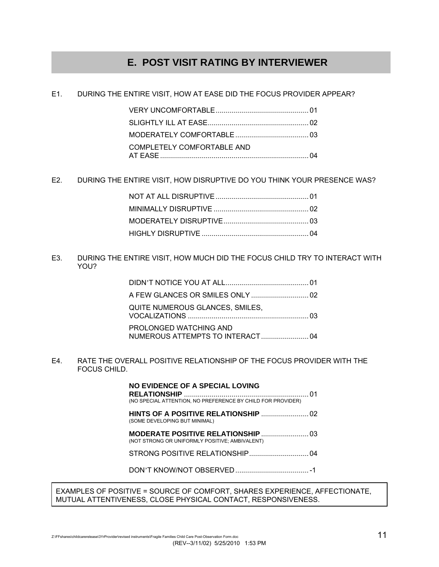## **E. POST VISIT RATING BY INTERVIEWER**

E1. DURING THE ENTIRE VISIT, HOW AT EASE DID THE FOCUS PROVIDER APPEAR?

| COMPLETELY COMFORTABLE AND |  |
|----------------------------|--|

E2. DURING THE ENTIRE VISIT, HOW DISRUPTIVE DO YOU THINK YOUR PRESENCE WAS?

E3. DURING THE ENTIRE VISIT, HOW MUCH DID THE FOCUS CHILD TRY TO INTERACT WITH YOU?

| QUITE NUMEROUS GLANCES, SMILES,                            |  |
|------------------------------------------------------------|--|
| PROLONGED WATCHING AND<br>NUMEROUS ATTEMPTS TO INTERACT 04 |  |

E4. RATE THE OVERALL POSITIVE RELATIONSHIP OF THE FOCUS PROVIDER WITH THE FOCUS CHILD.

> **NO EVIDENCE OF A SPECIAL LOVING RELATIONSHIP** ............................................................... 01 (NO SPECIAL ATTENTION, NO PREFERENCE BY CHILD FOR PROVIDER) **HINTS OF A POSITIVE RELATIONSHIP** ........................ 02 (SOME DEVELOPING BUT MINIMAL) **MODERATE POSITIVE RELATIONSHIP** ........................ 03 (NOT STRONG OR UNIFORMLY POSITIVE; AMBIVALENT) STRONG POSITIVE RELATIONSHIP .............................. 04 DON'T KNOW/NOT OBSERVED ..................................... -1

EXAMPLES OF POSITIVE = SOURCE OF COMFORT, SHARES EXPERIENCE, AFFECTIONATE, MUTUAL ATTENTIVENESS, CLOSE PHYSICAL CONTACT, RESPONSIVENESS.